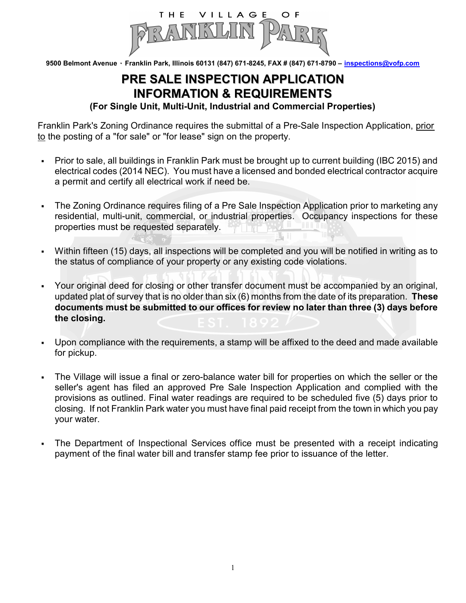

9500 Belmont Avenue · Franklin Park, Illinois 60131 (847) 671-8245, FAX # (847) 671-8790 - inspections@vofp.com

# PRE SALE INSPECTION APPLICATION INFORMATION & REQUIREMENTS

(For Single Unit, Multi-Unit, Industrial and Commercial Properties)

Franklin Park's Zoning Ordinance requires the submittal of a Pre-Sale Inspection Application, prior to the posting of a "for sale" or "for lease" sign on the property.

- Prior to sale, all buildings in Franklin Park must be brought up to current building (IBC 2015) and electrical codes (2014 NEC). You must have a licensed and bonded electrical contractor acquire a permit and certify all electrical work if need be.
- The Zoning Ordinance requires filing of a Pre Sale Inspection Application prior to marketing any residential, multi-unit, commercial, or industrial properties. Occupancy inspections for these properties must be requested separately.
- Within fifteen (15) days, all inspections will be completed and you will be notified in writing as to the status of compliance of your property or any existing code violations.
- Your original deed for closing or other transfer document must be accompanied by an original, updated plat of survey that is no older than six (6) months from the date of its preparation. These documents must be submitted to our offices for review no later than three (3) days before the closing.
- Upon compliance with the requirements, a stamp will be affixed to the deed and made available for pickup.
- The Village will issue a final or zero-balance water bill for properties on which the seller or the seller's agent has filed an approved Pre Sale Inspection Application and complied with the provisions as outlined. Final water readings are required to be scheduled five (5) days prior to closing. If not Franklin Park water you must have final paid receipt from the town in which you pay your water.
- The Department of Inspectional Services office must be presented with a receipt indicating payment of the final water bill and transfer stamp fee prior to issuance of the letter.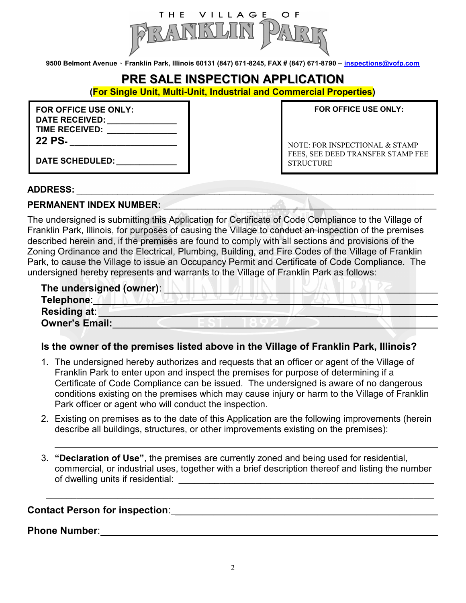

9500 Belmont Avenue · Franklin Park, Illinois 60131 (847) 671-8245, FAX # (847) 671-8790 - inspections@vofp.com

# PRE SALE INSPECTION APPLICATION

(For Single Unit, Multi-Unit, Industrial and Commercial Properties)

| FOR OFFICE USE ONLY:  |  |
|-----------------------|--|
| <b>DATE RECEIVED:</b> |  |
| <b>TIME RECEIVED:</b> |  |
| 22 PS-                |  |
|                       |  |

FOR OFFICE USE ONLY:

NOTE: FOR INSPECTIONAL & STAMP FEES, SEE DEED TRANSFER STAMP FEE **STRUCTURE** 

#### ADDRESS: \_\_\_\_\_\_\_\_\_\_\_\_\_\_\_\_\_\_\_\_\_\_\_\_\_\_\_\_\_\_\_\_\_\_\_\_\_\_\_\_\_\_\_\_\_\_\_\_\_\_\_\_\_\_\_\_\_\_\_\_\_\_\_\_\_\_\_\_\_\_

#### PERMANENT INDEX NUMBER:

DATE SCHEDULED:

The undersigned is submitting this Application for Certificate of Code Compliance to the Village of Franklin Park, Illinois, for purposes of causing the Village to conduct an inspection of the premises described herein and, if the premises are found to comply with all sections and provisions of the Zoning Ordinance and the Electrical, Plumbing, Building, and Fire Codes of the Village of Franklin Park, to cause the Village to issue an Occupancy Permit and Certificate of Code Compliance. The undersigned hereby represents and warrants to the Village of Franklin Park as follows:

| The undersigned (owner): |  |
|--------------------------|--|
| Telephone:               |  |
| <b>Residing at:</b>      |  |
| <b>Owner's Email:</b>    |  |

### Is the owner of the premises listed above in the Village of Franklin Park, Illinois?

- 1. The undersigned hereby authorizes and requests that an officer or agent of the Village of Franklin Park to enter upon and inspect the premises for purpose of determining if a Certificate of Code Compliance can be issued. The undersigned is aware of no dangerous conditions existing on the premises which may cause injury or harm to the Village of Franklin Park officer or agent who will conduct the inspection.
- 2. Existing on premises as to the date of this Application are the following improvements (herein describe all buildings, structures, or other improvements existing on the premises):

 $\mathcal{L}_\mathcal{L} = \mathcal{L}_\mathcal{L} = \mathcal{L}_\mathcal{L} = \mathcal{L}_\mathcal{L} = \mathcal{L}_\mathcal{L} = \mathcal{L}_\mathcal{L} = \mathcal{L}_\mathcal{L} = \mathcal{L}_\mathcal{L} = \mathcal{L}_\mathcal{L} = \mathcal{L}_\mathcal{L} = \mathcal{L}_\mathcal{L} = \mathcal{L}_\mathcal{L} = \mathcal{L}_\mathcal{L} = \mathcal{L}_\mathcal{L} = \mathcal{L}_\mathcal{L} = \mathcal{L}_\mathcal{L} = \mathcal{L}_\mathcal{L}$ 

3. "Declaration of Use", the premises are currently zoned and being used for residential, commercial, or industrial uses, together with a brief description thereof and listing the number of dwelling units if residential:

 $\overline{\phantom{a}}$  , and the contribution of the contribution of the contribution of the contribution of the contribution of the contribution of the contribution of the contribution of the contribution of the contribution of the

### Contact Person for inspection: \_\_\_\_\_\_\_\_\_\_\_\_\_\_\_\_\_\_\_\_\_\_\_\_\_\_\_\_\_\_\_\_\_\_\_\_\_\_\_\_\_\_\_\_\_\_\_\_

Phone Number: **Example 1**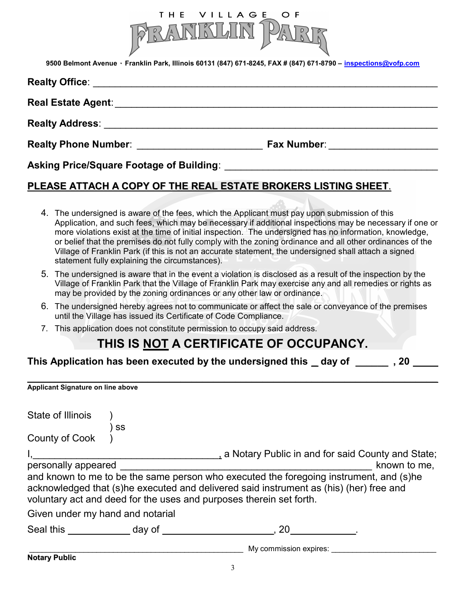

9500 Belmont Avenue · Franklin Park, Illinois 60131 (847) 671-8245, FAX # (847) 671-8790 - inspections@vofp.com

| <b>Realty Phone Number:</b> Nealty Phone Number: | Fax Number: ___________________ |  |
|--------------------------------------------------|---------------------------------|--|
| <b>Asking Price/Square Footage of Building:</b>  |                                 |  |

### PLEASE ATTACH A COPY OF THE REAL ESTATE BROKERS LISTING SHEET.

- 4. The undersigned is aware of the fees, which the Applicant must pay upon submission of this Application, and such fees, which may be necessary if additional inspections may be necessary if one or more violations exist at the time of initial inspection. The undersigned has no information, knowledge, or belief that the premises do not fully comply with the zoning ordinance and all other ordinances of the Village of Franklin Park (if this is not an accurate statement, the undersigned shall attach a signed statement fully explaining the circumstances).
- 5. The undersigned is aware that in the event a violation is disclosed as a result of the inspection by the Village of Franklin Park that the Village of Franklin Park may exercise any and all remedies or rights as may be provided by the zoning ordinances or any other law or ordinance.
- 6. The undersigned hereby agrees not to communicate or affect the sale or conveyance of the premises until the Village has issued its Certificate of Code Compliance.
- 7. This application does not constitute permission to occupy said address.

# THIS IS NOT A CERTIFICATE OF OCCUPANCY.

| This Application has been executed by the undersigned this _ day of |  |  |  |
|---------------------------------------------------------------------|--|--|--|
|---------------------------------------------------------------------|--|--|--|

| <b>Applicant Signature on line above</b>                                                                                                                                                                                       |                                  |                                                                                                                                                                                                                                                         |
|--------------------------------------------------------------------------------------------------------------------------------------------------------------------------------------------------------------------------------|----------------------------------|---------------------------------------------------------------------------------------------------------------------------------------------------------------------------------------------------------------------------------------------------------|
| State of Illinois                                                                                                                                                                                                              |                                  |                                                                                                                                                                                                                                                         |
|                                                                                                                                                                                                                                | ) SS                             |                                                                                                                                                                                                                                                         |
| <b>County of Cook</b>                                                                                                                                                                                                          |                                  |                                                                                                                                                                                                                                                         |
|                                                                                                                                                                                                                                |                                  | a Notary Public in and for said County and State;                                                                                                                                                                                                       |
| personally appeared                                                                                                                                                                                                            |                                  | known to me,                                                                                                                                                                                                                                            |
|                                                                                                                                                                                                                                |                                  | and known to me to be the same person who executed the foregoing instrument, and (s)he<br>acknowledged that (s)he executed and delivered said instrument as (his) (her) free and<br>voluntary act and deed for the uses and purposes therein set forth. |
|                                                                                                                                                                                                                                | Given under my hand and notarial |                                                                                                                                                                                                                                                         |
| Seal this bead this the control of the control of the control of the control of the control of the control of the control of the control of the control of the control of the control of the control of the control of the con |                                  | 20                                                                                                                                                                                                                                                      |
|                                                                                                                                                                                                                                |                                  | My commission expires:                                                                                                                                                                                                                                  |